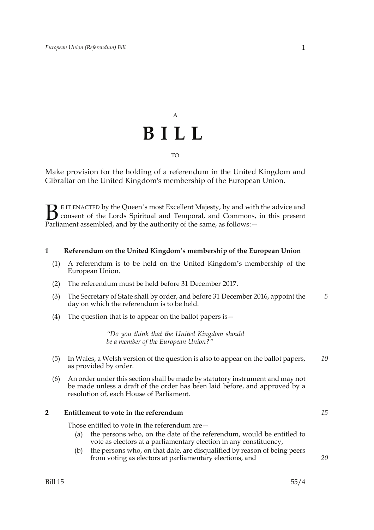# A **BILL** TO

Make provision for the holding of a referendum in the United Kingdom and Gibraltar on the United Kingdom's membership of the European Union.

E IT ENACTED by the Queen's most Excellent Majesty, by and with the advice and consent of the Lords Spiritual and Temporal, and Commons, in this present **B** E IT ENACTED by the Queen's most Excellent Majesty, by and with consent of the Lords Spiritual and Temporal, and Commons, Parliament assembled, and by the authority of the same, as follows:  $-$ 

### **1 Referendum on the United Kingdom's membership of the European Union**

- (1) A referendum is to be held on the United Kingdom's membership of the European Union.
- (2) The referendum must be held before 31 December 2017.
- (3) The Secretary of State shall by order, and before 31 December 2016, appoint the day on which the referendum is to be held. *5*
- (4) The question that is to appear on the ballot papers is  $-$

*"Do you think that the United Kingdom should be a member of the European Union?"*

- (5) In Wales, a Welsh version of the question is also to appear on the ballot papers, as provided by order. *10*
- (6) An order under this section shall be made by statutory instrument and may not be made unless a draft of the order has been laid before, and approved by a resolution of, each House of Parliament.

#### **2 Entitlement to vote in the referendum**

Those entitled to vote in the referendum are—

- (a) the persons who, on the date of the referendum, would be entitled to vote as electors at a parliamentary election in any constituency,
- (b) the persons who, on that date, are disqualified by reason of being peers from voting as electors at parliamentary elections, and

*15*

*20*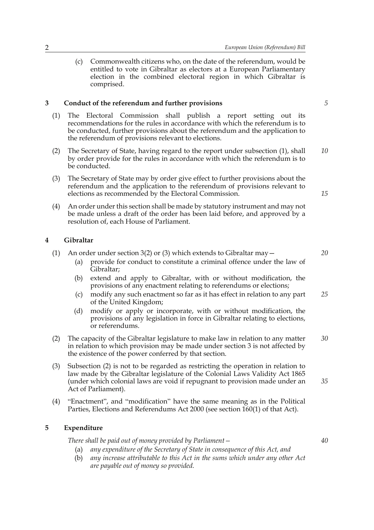(c) Commonwealth citizens who, on the date of the referendum, would be entitled to vote in Gibraltar as electors at a European Parliamentary election in the combined electoral region in which Gibraltar is comprised.

### **3 Conduct of the referendum and further provisions**

- (1) The Electoral Commission shall publish a report setting out its recommendations for the rules in accordance with which the referendum is to be conducted, further provisions about the referendum and the application to the referendum of provisions relevant to elections.
- (2) The Secretary of State, having regard to the report under subsection (1), shall by order provide for the rules in accordance with which the referendum is to be conducted. *10*
- (3) The Secretary of State may by order give effect to further provisions about the referendum and the application to the referendum of provisions relevant to elections as recommended by the Electoral Commission.
- (4) An order under this section shall be made by statutory instrument and may not be made unless a draft of the order has been laid before, and approved by a resolution of, each House of Parliament.

#### **4 Gibraltar**

- (1) An order under section 3(2) or (3) which extends to Gibraltar may  $-$ 
	- (a) provide for conduct to constitute a criminal offence under the law of Gibraltar;
	- (b) extend and apply to Gibraltar, with or without modification, the provisions of any enactment relating to referendums or elections;
	- (c) modify any such enactment so far as it has effect in relation to any part of the United Kingdom; *25*
	- (d) modify or apply or incorporate, with or without modification, the provisions of any legislation in force in Gibraltar relating to elections, or referendums.
- (2) The capacity of the Gibraltar legislature to make law in relation to any matter in relation to which provision may be made under section 3 is not affected by the existence of the power conferred by that section. *30*
- (3) Subsection (2) is not to be regarded as restricting the operation in relation to law made by the Gibraltar legislature of the Colonial Laws Validity Act 1865 (under which colonial laws are void if repugnant to provision made under an Act of Parliament).
- (4) "Enactment", and "modification" have the same meaning as in the Political Parties, Elections and Referendums Act 2000 (see section 160(1) of that Act).

#### **5 Expenditure**

*There shall be paid out of money provided by Parliament—*

- (a) *any expenditure of the Secretary of State in consequence of this Act, and*
- (b) *any increase attributable to this Act in the sums which under any other Act are payable out of money so provided.*

*5*

*15*

*20*

*35*

*40*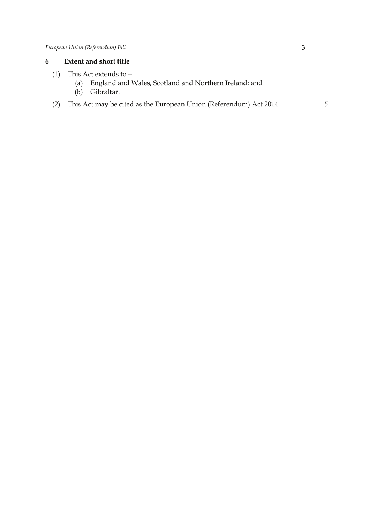## **6 Extent and short title**

- (1) This Act extends to—
	- (a) England and Wales, Scotland and Northern Ireland; and
	- (b) Gibraltar.
- (2) This Act may be cited as the European Union (Referendum) Act 2014. *5*